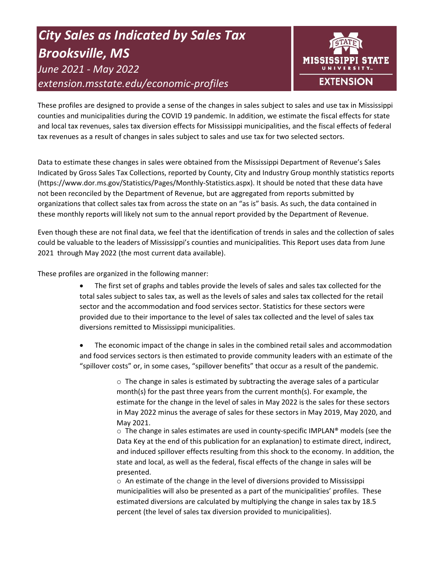# *City Sales as Indicated by Sales Tax Brooksville, MS June 2021 - May 2022 extension.msstate.edu/economic-profiles*



These profiles are designed to provide a sense of the changes in sales subject to sales and use tax in Mississippi counties and municipalities during the COVID 19 pandemic. In addition, we estimate the fiscal effects for state and local tax revenues, sales tax diversion effects for Mississippi municipalities, and the fiscal effects of federal tax revenues as a result of changes in sales subject to sales and use tax for two selected sectors.

Data to estimate these changes in sales were obtained from the Mississippi Department of Revenue's Sales Indicated by Gross Sales Tax Collections, reported by County, City and Industry Group monthly statistics reports (https://www.dor.ms.gov/Statistics/Pages/Monthly-Statistics.aspx). It should be noted that these data have not been reconciled by the Department of Revenue, but are aggregated from reports submitted by organizations that collect sales tax from across the state on an "as is" basis. As such, the data contained in these monthly reports will likely not sum to the annual report provided by the Department of Revenue.

Even though these are not final data, we feel that the identification of trends in sales and the collection of sales could be valuable to the leaders of Mississippi's counties and municipalities. This Report uses data from June 2021 through May 2022 (the most current data available).

These profiles are organized in the following manner:

- The first set of graphs and tables provide the levels of sales and sales tax collected for the total sales subject to sales tax, as well as the levels of sales and sales tax collected for the retail sector and the accommodation and food services sector. Statistics for these sectors were provided due to their importance to the level of sales tax collected and the level of sales tax diversions remitted to Mississippi municipalities.
- The economic impact of the change in sales in the combined retail sales and accommodation and food services sectors is then estimated to provide community leaders with an estimate of the "spillover costs" or, in some cases, "spillover benefits" that occur as a result of the pandemic.

 $\circ$  The change in sales is estimated by subtracting the average sales of a particular month(s) for the past three years from the current month(s). For example, the estimate for the change in the level of sales in May 2022 is the sales for these sectors in May 2022 minus the average of sales for these sectors in May 2019, May 2020, and May 2021.

 $\circ$  The change in sales estimates are used in county-specific IMPLAN® models (see the Data Key at the end of this publication for an explanation) to estimate direct, indirect, and induced spillover effects resulting from this shock to the economy. In addition, the state and local, as well as the federal, fiscal effects of the change in sales will be presented.

 $\circ$  An estimate of the change in the level of diversions provided to Mississippi municipalities will also be presented as a part of the municipalities' profiles. These estimated diversions are calculated by multiplying the change in sales tax by 18.5 percent (the level of sales tax diversion provided to municipalities).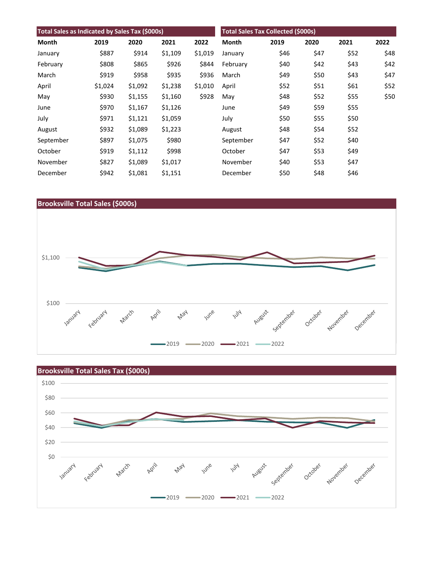| Total Sales as Indicated by Sales Tax (\$000s) |         |         |         |         | <b>Total Sales Tax Collected (\$000s)</b> |      |      |      |      |
|------------------------------------------------|---------|---------|---------|---------|-------------------------------------------|------|------|------|------|
| Month                                          | 2019    | 2020    | 2021    | 2022    | <b>Month</b>                              | 2019 | 2020 | 2021 | 2022 |
| January                                        | \$887   | \$914   | \$1,109 | \$1,019 | January                                   | \$46 | \$47 | \$52 | \$48 |
| February                                       | \$808   | \$865   | \$926   | \$844   | February                                  | \$40 | \$42 | \$43 | \$42 |
| March                                          | \$919   | \$958   | \$935   | \$936   | March                                     | \$49 | \$50 | \$43 | \$47 |
| April                                          | \$1,024 | \$1,092 | \$1,238 | \$1,010 | April                                     | \$52 | \$51 | \$61 | \$52 |
| May                                            | \$930   | \$1,155 | \$1,160 | \$928   | May                                       | \$48 | \$52 | \$55 | \$50 |
| June                                           | \$970   | \$1,167 | \$1,126 |         | June                                      | \$49 | \$59 | \$55 |      |
| July                                           | \$971   | \$1,121 | \$1,059 |         | July                                      | \$50 | \$55 | \$50 |      |
| August                                         | \$932   | \$1,089 | \$1,223 |         | August                                    | \$48 | \$54 | \$52 |      |
| September                                      | \$897   | \$1,075 | \$980   |         | September                                 | \$47 | \$52 | \$40 |      |
| October                                        | \$919   | \$1,112 | \$998   |         | October                                   | \$47 | \$53 | \$49 |      |
| November                                       | \$827   | \$1,089 | \$1,017 |         | November                                  | \$40 | \$53 | \$47 |      |
| December                                       | \$942   | \$1,081 | \$1,151 |         | December                                  | \$50 | \$48 | \$46 |      |



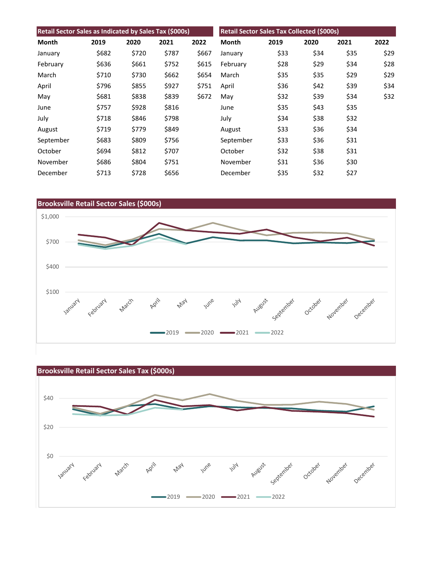| Retail Sector Sales as Indicated by Sales Tax (\$000s) |       |       |       | Retail Sector Sales Tax Collected (\$000s) |           |      |      |      |      |
|--------------------------------------------------------|-------|-------|-------|--------------------------------------------|-----------|------|------|------|------|
| Month                                                  | 2019  | 2020  | 2021  | 2022                                       | Month     | 2019 | 2020 | 2021 | 2022 |
| January                                                | \$682 | \$720 | \$787 | \$667                                      | January   | \$33 | \$34 | \$35 | \$29 |
| February                                               | \$636 | \$661 | \$752 | \$615                                      | February  | \$28 | \$29 | \$34 | \$28 |
| March                                                  | \$710 | \$730 | \$662 | \$654                                      | March     | \$35 | \$35 | \$29 | \$29 |
| April                                                  | \$796 | \$855 | \$927 | \$751                                      | April     | \$36 | \$42 | \$39 | \$34 |
| May                                                    | \$681 | \$838 | \$839 | \$672                                      | May       | \$32 | \$39 | \$34 | \$32 |
| June                                                   | \$757 | \$928 | \$816 |                                            | June      | \$35 | \$43 | \$35 |      |
| July                                                   | \$718 | \$846 | \$798 |                                            | July      | \$34 | \$38 | \$32 |      |
| August                                                 | \$719 | \$779 | \$849 |                                            | August    | \$33 | \$36 | \$34 |      |
| September                                              | \$683 | \$809 | \$756 |                                            | September | \$33 | \$36 | \$31 |      |
| October                                                | \$694 | \$812 | \$707 |                                            | October   | \$32 | \$38 | \$31 |      |
| November                                               | \$686 | \$804 | \$751 |                                            | November  | \$31 | \$36 | \$30 |      |
| December                                               | \$713 | \$728 | \$656 |                                            | December  | \$35 | \$32 | \$27 |      |



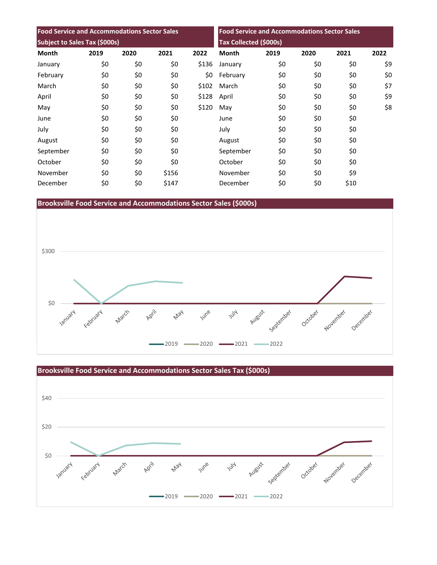| <b>Food Service and Accommodations Sector Sales</b><br>Subject to Sales Tax (\$000s) |     |     |       |       | <b>Food Service and Accommodations Sector Sales</b><br><b>Tax Collected (\$000s)</b> |     |     |      |     |
|--------------------------------------------------------------------------------------|-----|-----|-------|-------|--------------------------------------------------------------------------------------|-----|-----|------|-----|
|                                                                                      |     |     |       |       |                                                                                      |     |     |      |     |
| January                                                                              | \$0 | \$0 | \$0   | \$136 | January                                                                              | \$0 | \$0 | \$0  | \$9 |
| February                                                                             | \$0 | \$0 | \$0   | \$0   | February                                                                             | \$0 | \$0 | \$0  | \$0 |
| March                                                                                | \$0 | \$0 | \$0   | \$102 | March                                                                                | \$0 | \$0 | \$0  | \$7 |
| April                                                                                | \$0 | \$0 | \$0   | \$128 | April                                                                                | \$0 | \$0 | \$0  | \$9 |
| May                                                                                  | \$0 | \$0 | \$0   | \$120 | May                                                                                  | \$0 | \$0 | \$0  | \$8 |
| June                                                                                 | \$0 | \$0 | \$0   |       | June                                                                                 | \$0 | \$0 | \$0  |     |
| July                                                                                 | \$0 | \$0 | \$0   |       | July                                                                                 | \$0 | \$0 | \$0  |     |
| August                                                                               | \$0 | \$0 | \$0   |       | August                                                                               | \$0 | \$0 | \$0  |     |
| September                                                                            | \$0 | \$0 | \$0   |       | September                                                                            | \$0 | \$0 | \$0  |     |
| October                                                                              | \$0 | \$0 | \$0   |       | October                                                                              | \$0 | \$0 | \$0  |     |
| November                                                                             | \$0 | \$0 | \$156 |       | November                                                                             | \$0 | \$0 | \$9  |     |
| December                                                                             | \$0 | \$0 | \$147 |       | December                                                                             | \$0 | \$0 | \$10 |     |

**Brooksville Food Service and Accommodations Sector Sales (\$000s)**





**Brooksville Food Service and Accommodations Sector Sales Tax (\$000s)**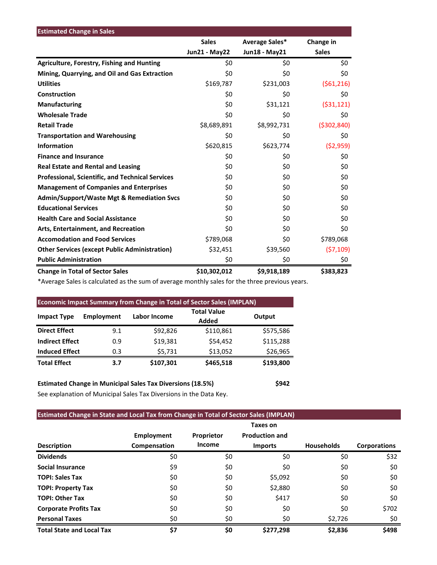| <b>Estimated Change in Sales</b>                        |                      |                |               |
|---------------------------------------------------------|----------------------|----------------|---------------|
|                                                         | <b>Sales</b>         | Average Sales* | Change in     |
|                                                         | <b>Jun21 - May22</b> | Jun18 - May21  | <b>Sales</b>  |
| <b>Agriculture, Forestry, Fishing and Hunting</b>       | \$0                  | \$0            | \$0           |
| Mining, Quarrying, and Oil and Gas Extraction           | \$0                  | \$0            | \$0           |
| <b>Utilities</b>                                        | \$169,787            | \$231,003      | (561, 216)    |
| Construction                                            | \$0                  | \$0            | \$0           |
| <b>Manufacturing</b>                                    | \$0                  | \$31,121       | (531, 121)    |
| <b>Wholesale Trade</b>                                  | \$0                  | \$0            | \$0           |
| <b>Retail Trade</b>                                     | \$8,689,891          | \$8,992,731    | ( \$302, 840) |
| <b>Transportation and Warehousing</b>                   | \$0                  | \$0            | \$0           |
| <b>Information</b>                                      | \$620,815            | \$623,774      | (52,959)      |
| <b>Finance and Insurance</b>                            | \$0                  | \$0            | \$0           |
| <b>Real Estate and Rental and Leasing</b>               | \$0                  | \$0            | \$0           |
| <b>Professional, Scientific, and Technical Services</b> | \$0                  | \$0            | \$0           |
| <b>Management of Companies and Enterprises</b>          | \$0                  | \$0            | \$0           |
| <b>Admin/Support/Waste Mgt &amp; Remediation Svcs</b>   | \$0                  | \$0            | \$0           |
| <b>Educational Services</b>                             | \$0                  | \$0            | \$0           |
| <b>Health Care and Social Assistance</b>                | \$0                  | \$0            | \$0           |
| Arts, Entertainment, and Recreation                     | \$0                  | \$0            | \$0           |
| <b>Accomodation and Food Services</b>                   | \$789,068            | \$0            | \$789,068     |
| <b>Other Services (except Public Administration)</b>    | \$32,451             | \$39,560       | (57, 109)     |
| <b>Public Administration</b>                            | \$0                  | \$0            | \$0           |
| <b>Change in Total of Sector Sales</b>                  | \$10,302,012         | \$9,918,189    | \$383,823     |

\*Average Sales is calculated as the sum of average monthly sales for the three previous years.

| <b>Economic Impact Summary from Change in Total of Sector Sales (IMPLAN)</b> |                   |              |                             |           |  |  |  |  |
|------------------------------------------------------------------------------|-------------------|--------------|-----------------------------|-----------|--|--|--|--|
| <b>Impact Type</b>                                                           | <b>Employment</b> | Labor Income | <b>Total Value</b><br>Added | Output    |  |  |  |  |
| <b>Direct Effect</b>                                                         | 9.1               | \$92,826     | \$110,861                   | \$575,586 |  |  |  |  |
| <b>Indirect Effect</b>                                                       | 0.9               | \$19,381     | \$54,452                    | \$115,288 |  |  |  |  |
| <b>Induced Effect</b>                                                        | 0.3               | \$5,731      | \$13,052                    | \$26,965  |  |  |  |  |
| <b>Total Effect</b>                                                          | 3.7               | \$107,301    | \$465,518                   | \$193,800 |  |  |  |  |

**Estimated Change in Municipal Sales Tax Diversions (18.5%) \$942** See explanation of Municipal Sales Tax Diversions in the Data Key.

## **Estimated Change in State and Local Tax from Change in Total of Sector Sales (IMPLAN)**

|                                  |                                   |                      | Taxes on                                |                   |                     |
|----------------------------------|-----------------------------------|----------------------|-----------------------------------------|-------------------|---------------------|
| <b>Description</b>               | <b>Employment</b><br>Compensation | Proprietor<br>Income | <b>Production and</b><br><b>Imports</b> | <b>Households</b> | <b>Corporations</b> |
| <b>Dividends</b>                 | \$0                               | \$0                  | \$0                                     | \$0               | \$32                |
| <b>Social Insurance</b>          | \$9                               | \$0                  | \$0                                     | \$0               | \$0                 |
| <b>TOPI: Sales Tax</b>           | \$0                               | \$0                  | \$5,092                                 | \$0               | \$0                 |
| <b>TOPI: Property Tax</b>        | \$0                               | \$0                  | \$2,880                                 | \$0               | \$0                 |
| <b>TOPI: Other Tax</b>           | \$0                               | \$0                  | \$417                                   | \$0               | \$0                 |
| <b>Corporate Profits Tax</b>     | \$0                               | \$0                  | \$0                                     | \$0               | \$702               |
| <b>Personal Taxes</b>            | \$0                               | \$0                  | \$0                                     | \$2,726           | \$0                 |
| <b>Total State and Local Tax</b> | \$7                               | \$0                  | \$277,298                               | \$2,836           | \$498               |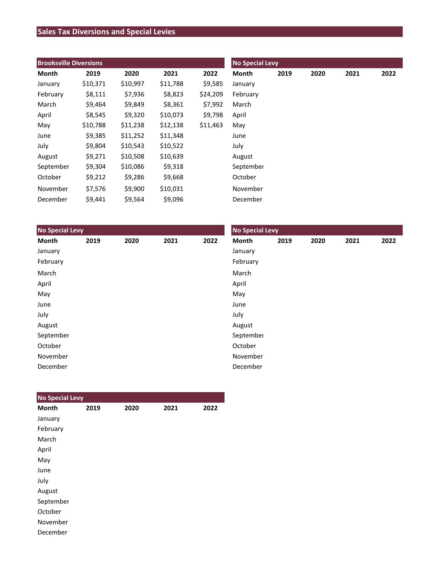# **Sales Tax Diversions and Special Levies**

| <b>Brooksville Diversions</b> |          |          |          |          | <b>No Special Levy</b> |      |      |      |      |
|-------------------------------|----------|----------|----------|----------|------------------------|------|------|------|------|
| Month                         | 2019     | 2020     | 2021     | 2022     | Month                  | 2019 | 2020 | 2021 | 2022 |
| January                       | \$10,371 | \$10,997 | \$11,788 | \$9,585  | January                |      |      |      |      |
| February                      | \$8,111  | \$7,936  | \$8,823  | \$24,209 | February               |      |      |      |      |
| March                         | \$9,464  | \$9,849  | \$8,361  | \$7,992  | March                  |      |      |      |      |
| April                         | \$8,545  | \$9,320  | \$10,073 | \$9,798  | April                  |      |      |      |      |
| May                           | \$10,788 | \$11,238 | \$12,138 | \$11,463 | May                    |      |      |      |      |
| June                          | \$9,385  | \$11,252 | \$11,348 |          | June                   |      |      |      |      |
| July                          | \$9,804  | \$10,543 | \$10,522 |          | July                   |      |      |      |      |
| August                        | \$9,271  | \$10,508 | \$10,639 |          | August                 |      |      |      |      |
| September                     | \$9,304  | \$10,086 | \$9,318  |          | September              |      |      |      |      |
| October                       | \$9,212  | \$9,286  | \$9,668  |          | October                |      |      |      |      |
| November                      | \$7,576  | \$9,900  | \$10,031 |          | November               |      |      |      |      |
| December                      | \$9,441  | \$9,564  | \$9,096  |          | December               |      |      |      |      |

| <b>No Special Levy</b> |      |      |      |      | <b>No Special Levy</b> |      |      |      |      |
|------------------------|------|------|------|------|------------------------|------|------|------|------|
| Month                  | 2019 | 2020 | 2021 | 2022 | Month                  | 2019 | 2020 | 2021 | 2022 |
| January                |      |      |      |      | January                |      |      |      |      |
| February               |      |      |      |      | February               |      |      |      |      |
| March                  |      |      |      |      | March                  |      |      |      |      |
| April                  |      |      |      |      | April                  |      |      |      |      |
| May                    |      |      |      |      | May                    |      |      |      |      |
| June                   |      |      |      |      | June                   |      |      |      |      |
| July                   |      |      |      |      | July                   |      |      |      |      |
| August                 |      |      |      |      | August                 |      |      |      |      |
| September              |      |      |      |      | September              |      |      |      |      |
| October                |      |      |      |      | October                |      |      |      |      |
| November               |      |      |      |      | November               |      |      |      |      |
| December               |      |      |      |      | December               |      |      |      |      |

| <b>No Special Levy</b> |      |      |      |      |
|------------------------|------|------|------|------|
| <b>Month</b>           | 2019 | 2020 | 2021 | 2022 |
| January                |      |      |      |      |
| February               |      |      |      |      |
| March                  |      |      |      |      |
| April                  |      |      |      |      |
| May                    |      |      |      |      |
| June                   |      |      |      |      |
| July                   |      |      |      |      |
| August                 |      |      |      |      |
| September              |      |      |      |      |
| October                |      |      |      |      |
| November               |      |      |      |      |
| December               |      |      |      |      |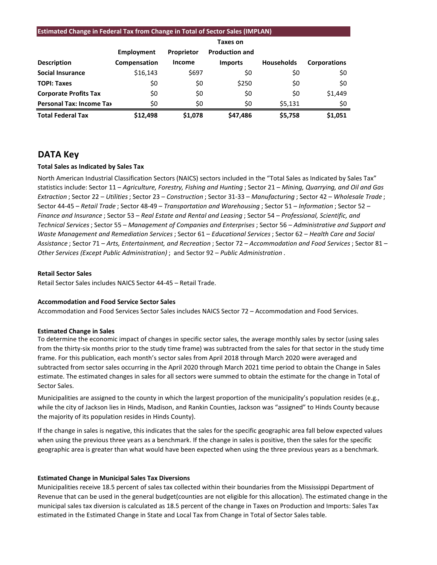#### **Estimated Change in Federal Tax from Change in Total of Sector Sales (IMPLAN)**

|                                 |              |               | <b>Taxes on</b>       |                   |                     |
|---------------------------------|--------------|---------------|-----------------------|-------------------|---------------------|
|                                 | Employment   | Proprietor    | <b>Production and</b> |                   |                     |
| <b>Description</b>              | Compensation | <b>Income</b> | <b>Imports</b>        | <b>Households</b> | <b>Corporations</b> |
| <b>Social Insurance</b>         | \$16,143     | \$697         | \$0                   | \$0               | \$0                 |
| <b>TOPI: Taxes</b>              | \$0          | \$0           | \$250                 | \$0               | \$0                 |
| <b>Corporate Profits Tax</b>    | \$0          | \$0           | \$0                   | \$0               | \$1,449             |
| <b>Personal Tax: Income Tax</b> | \$0          | \$0           | \$0                   | \$5,131           | \$0                 |
| <b>Total Federal Tax</b>        | \$12,498     | \$1.078       | \$47,486              | \$5,758           | \$1,051             |

### **DATA Key**

#### **Total Sales as Indicated by Sales Tax**

North American Industrial Classification Sectors (NAICS) sectors included in the "Total Sales as Indicated by Sales Tax" statistics include: Sector 11 – *Agriculture, Forestry, Fishing and Hunting* ; Sector 21 – *Mining, Quarrying, and Oil and Gas Extraction* ; Sector 22 – *Utilities*; Sector 23 – *Construction* ; Sector 31-33 – *Manufacturing* ; Sector 42 – *Wholesale Trade* ; Sector 44-45 – *Retail Trade* ; Sector 48-49 – *Transportation and Warehousing* ; Sector 51 – *Information* ; Sector 52 – *Finance and Insurance* ; Sector 53 – *Real Estate and Rental and Leasing* ; Sector 54 – *Professional, Scientific, and Technical Services*; Sector 55 – *Management of Companies and Enterprises* ; Sector 56 – *Administrative and Support and Waste Management and Remediation Services* ; Sector 61 – *Educational Services*; Sector 62 – *Health Care and Social Assistance* ; Sector 71 – *Arts, Entertainment, and Recreation* ; Sector 72 – *Accommodation and Food Services* ; Sector 81 – *Other Services (Except Public Administration)* ; and Sector 92 – *Public Administration* .

#### **Retail Sector Sales**

Retail Sector Sales includes NAICS Sector 44-45 – Retail Trade.

#### **Accommodation and Food Service Sector Sales**

Accommodation and Food Services Sector Sales includes NAICS Sector 72 – Accommodation and Food Services.

#### **Estimated Change in Sales**

To determine the economic impact of changes in specific sector sales, the average monthly sales by sector (using sales from the thirty-six months prior to the study time frame) was subtracted from the sales for that sector in the study time frame. For this publication, each month's sector sales from April 2018 through March 2020 were averaged and subtracted from sector sales occurring in the April 2020 through March 2021 time period to obtain the Change in Sales estimate. The estimated changes in sales for all sectors were summed to obtain the estimate for the change in Total of Sector Sales.

Municipalities are assigned to the county in which the largest proportion of the municipality's population resides (e.g., while the city of Jackson lies in Hinds, Madison, and Rankin Counties, Jackson was "assigned" to Hinds County because the majority of its population resides in Hinds County).

If the change in sales is negative, this indicates that the sales for the specific geographic area fall below expected values when using the previous three years as a benchmark. If the change in sales is positive, then the sales for the specific geographic area is greater than what would have been expected when using the three previous years as a benchmark.

#### **Estimated Change in Municipal Sales Tax Diversions**

Municipalities receive 18.5 percent of sales tax collected within their boundaries from the Mississippi Department of Revenue that can be used in the general budget(counties are not eligible for this allocation). The estimated change in the municipal sales tax diversion is calculated as 18.5 percent of the change in Taxes on Production and Imports: Sales Tax estimated in the Estimated Change in State and Local Tax from Change in Total of Sector Sales table.